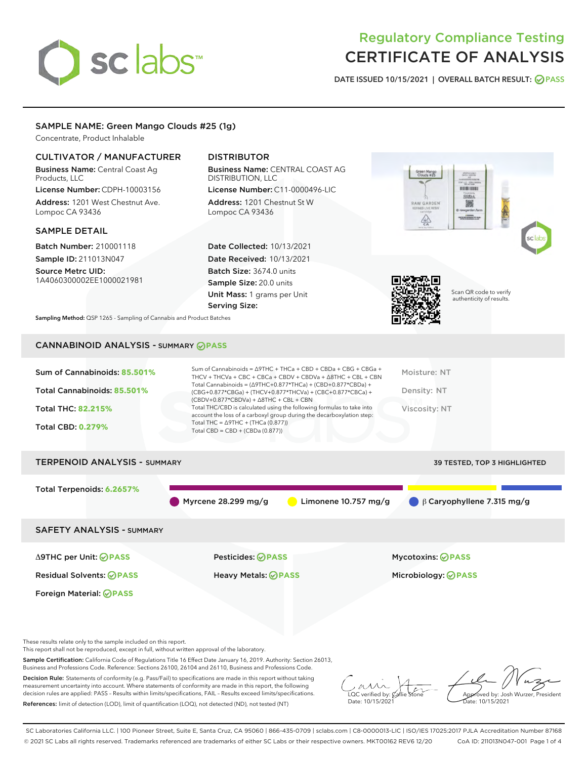# sclabs<sup>\*</sup>

# Regulatory Compliance Testing CERTIFICATE OF ANALYSIS

DATE ISSUED 10/15/2021 | OVERALL BATCH RESULT: @ PASS

## SAMPLE NAME: Green Mango Clouds #25 (1g)

Concentrate, Product Inhalable

### CULTIVATOR / MANUFACTURER

Business Name: Central Coast Ag Products, LLC

License Number: CDPH-10003156 Address: 1201 West Chestnut Ave. Lompoc CA 93436

#### SAMPLE DETAIL

Batch Number: 210001118 Sample ID: 211013N047

Source Metrc UID: 1A4060300002EE1000021981

# DISTRIBUTOR

Business Name: CENTRAL COAST AG DISTRIBUTION, LLC

License Number: C11-0000496-LIC Address: 1201 Chestnut St W Lompoc CA 93436

Date Collected: 10/13/2021 Date Received: 10/13/2021 Batch Size: 3674.0 units Sample Size: 20.0 units Unit Mass: 1 grams per Unit Serving Size:





Scan QR code to verify authenticity of results.

Sampling Method: QSP 1265 - Sampling of Cannabis and Product Batches

# CANNABINOID ANALYSIS - SUMMARY **PASS**

| Total THC/CBD is calculated using the following formulas to take into<br><b>Total THC: 82.215%</b><br>Viscosity: NT<br>account the loss of a carboxyl group during the decarboxylation step:<br>Total THC = $\triangle$ 9THC + (THCa (0.877))<br><b>Total CBD: 0.279%</b><br>Total CBD = $CBD + (CBDa (0.877))$ | Sum of Cannabinoids: 85.501%<br>Total Cannabinoids: 85.501% | Sum of Cannabinoids = $\triangle$ 9THC + THCa + CBD + CBDa + CBG + CBGa +<br>THCV + THCVa + CBC + CBCa + CBDV + CBDVa + $\Delta$ 8THC + CBL + CBN<br>Total Cannabinoids = $(\Delta$ 9THC+0.877*THCa) + (CBD+0.877*CBDa) +<br>(CBG+0.877*CBGa) + (THCV+0.877*THCVa) + (CBC+0.877*CBCa) + | Moisture: NT<br>Density: NT |
|-----------------------------------------------------------------------------------------------------------------------------------------------------------------------------------------------------------------------------------------------------------------------------------------------------------------|-------------------------------------------------------------|-----------------------------------------------------------------------------------------------------------------------------------------------------------------------------------------------------------------------------------------------------------------------------------------|-----------------------------|
|                                                                                                                                                                                                                                                                                                                 |                                                             | $(CBDV+0.877*CBDVa) + \Delta 8THC + CBL + CBN$                                                                                                                                                                                                                                          |                             |
|                                                                                                                                                                                                                                                                                                                 |                                                             |                                                                                                                                                                                                                                                                                         |                             |

# TERPENOID ANALYSIS - SUMMARY 39 TESTED, TOP 3 HIGHLIGHTED Total Terpenoids: **6.2657%** Myrcene 28.299 mg/g **C** Limonene 10.757 mg/g **C** β Caryophyllene 7.315 mg/g SAFETY ANALYSIS - SUMMARY Δ9THC per Unit: **PASS** Pesticides: **PASS** Mycotoxins: **PASS**

Foreign Material: **PASS**

Residual Solvents: **PASS** Heavy Metals: **PASS** Microbiology: **PASS**

These results relate only to the sample included on this report.

This report shall not be reproduced, except in full, without written approval of the laboratory.

Sample Certification: California Code of Regulations Title 16 Effect Date January 16, 2019. Authority: Section 26013, Business and Professions Code. Reference: Sections 26100, 26104 and 26110, Business and Professions Code.

Decision Rule: Statements of conformity (e.g. Pass/Fail) to specifications are made in this report without taking measurement uncertainty into account. Where statements of conformity are made in this report, the following decision rules are applied: PASS – Results within limits/specifications, FAIL – Results exceed limits/specifications. References: limit of detection (LOD), limit of quantification (LOQ), not detected (ND), not tested (NT)

 $\overline{\text{LOC}}$  verified by:  $\mathcal C$ Date: 10/15/2021

**A**<br>Approved by: Josh Wurzer, President Date: 10/15/2021

SC Laboratories California LLC. | 100 Pioneer Street, Suite E, Santa Cruz, CA 95060 | 866-435-0709 | sclabs.com | C8-0000013-LIC | ISO/IES 17025:2017 PJLA Accreditation Number 87168 © 2021 SC Labs all rights reserved. Trademarks referenced are trademarks of either SC Labs or their respective owners. MKT00162 REV6 12/20 CoA ID: 211013N047-001 Page 1 of 4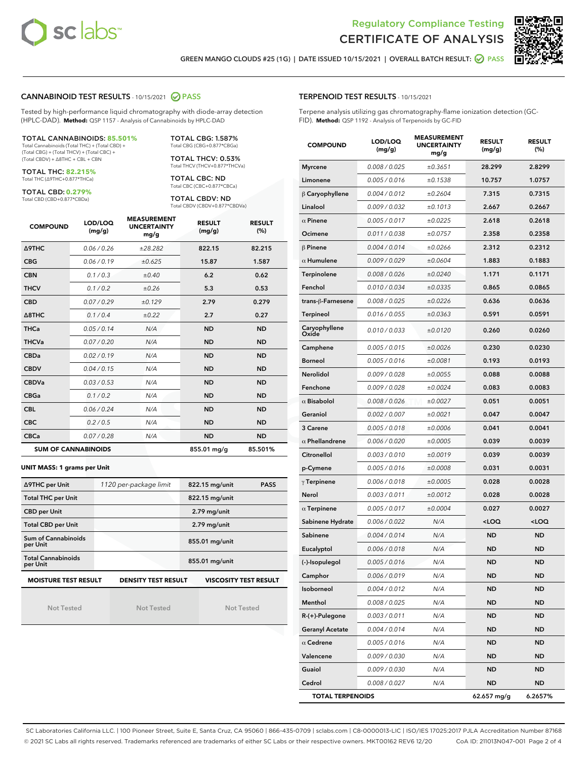



GREEN MANGO CLOUDS #25 (1G) | DATE ISSUED 10/15/2021 | OVERALL BATCH RESULT: @ PASS

#### CANNABINOID TEST RESULTS - 10/15/2021 2 PASS

Tested by high-performance liquid chromatography with diode-array detection (HPLC-DAD). **Method:** QSP 1157 - Analysis of Cannabinoids by HPLC-DAD

#### TOTAL CANNABINOIDS: **85.501%**

Total Cannabinoids (Total THC) + (Total CBD) + (Total CBG) + (Total THCV) + (Total CBC) + (Total CBDV) + ∆8THC + CBL + CBN

TOTAL THC: **82.215%** Total THC (∆9THC+0.877\*THCa)

TOTAL CBD: **0.279%**

Total CBD (CBD+0.877\*CBDa)

TOTAL CBG: 1.587% Total CBG (CBG+0.877\*CBGa)

TOTAL THCV: 0.53% Total THCV (THCV+0.877\*THCVa)

TOTAL CBC: ND Total CBC (CBC+0.877\*CBCa)

TOTAL CBDV: ND Total CBDV (CBDV+0.877\*CBDVa)

| <b>COMPOUND</b>            | LOD/LOQ<br>(mg/g) | <b>MEASUREMENT</b><br><b>UNCERTAINTY</b><br>mg/g | <b>RESULT</b><br>(mg/g) | <b>RESULT</b><br>(%) |
|----------------------------|-------------------|--------------------------------------------------|-------------------------|----------------------|
| <b>A9THC</b>               | 0.06 / 0.26       | ±28.282                                          | 822.15                  | 82.215               |
| <b>CBG</b>                 | 0.06/0.19         | ±0.625                                           | 15.87                   | 1.587                |
| <b>CBN</b>                 | 0.1 / 0.3         | ±0.40                                            | 6.2                     | 0.62                 |
| <b>THCV</b>                | 0.1/0.2           | ±0.26                                            | 5.3                     | 0.53                 |
| <b>CBD</b>                 | 0.07/0.29         | ±0.129                                           | 2.79                    | 0.279                |
| $\triangle$ 8THC           | 0.1 / 0.4         | $\pm 0.22$                                       | 2.7                     | 0.27                 |
| <b>THCa</b>                | 0.05/0.14         | N/A                                              | <b>ND</b>               | <b>ND</b>            |
| <b>THCVa</b>               | 0.07/0.20         | N/A                                              | <b>ND</b>               | <b>ND</b>            |
| <b>CBDa</b>                | 0.02/0.19         | N/A                                              | <b>ND</b>               | <b>ND</b>            |
| <b>CBDV</b>                | 0.04/0.15         | N/A                                              | <b>ND</b>               | <b>ND</b>            |
| <b>CBDVa</b>               | 0.03/0.53         | N/A                                              | <b>ND</b>               | <b>ND</b>            |
| <b>CBGa</b>                | 0.1/0.2           | N/A                                              | <b>ND</b>               | <b>ND</b>            |
| <b>CBL</b>                 | 0.06 / 0.24       | N/A                                              | <b>ND</b>               | <b>ND</b>            |
| <b>CBC</b>                 | 0.2 / 0.5         | N/A                                              | <b>ND</b>               | <b>ND</b>            |
| <b>CBCa</b>                | 0.07/0.28         | N/A                                              | <b>ND</b>               | <b>ND</b>            |
| <b>SUM OF CANNABINOIDS</b> |                   |                                                  | 855.01 mg/g             | 85.501%              |

#### **UNIT MASS: 1 grams per Unit**

| ∆9THC per Unit                        | 1120 per-package limit     | 822.15 mg/unit<br><b>PASS</b> |
|---------------------------------------|----------------------------|-------------------------------|
| <b>Total THC per Unit</b>             |                            | 822.15 mg/unit                |
| <b>CBD per Unit</b>                   |                            | $2.79$ mg/unit                |
| <b>Total CBD per Unit</b>             |                            | 2.79 mg/unit                  |
| Sum of Cannabinoids<br>per Unit       |                            | 855.01 mg/unit                |
| <b>Total Cannabinoids</b><br>per Unit |                            | 855.01 mg/unit                |
| <b>MOISTURE TEST RESULT</b>           | <b>DENSITY TEST RESULT</b> | <b>VISCOSITY TEST RESULT</b>  |

Not Tested

Not Tested

Not Tested

#### TERPENOID TEST RESULTS - 10/15/2021

Terpene analysis utilizing gas chromatography-flame ionization detection (GC-FID). **Method:** QSP 1192 - Analysis of Terpenoids by GC-FID

| <b>COMPOUND</b>         | LOD/LOQ<br>(mg/g) | <b>MEASUREMENT</b><br><b>UNCERTAINTY</b><br>mg/g | <b>RESULT</b><br>(mg/g)                         | <b>RESULT</b><br>$(\%)$ |
|-------------------------|-------------------|--------------------------------------------------|-------------------------------------------------|-------------------------|
| <b>Myrcene</b>          | 0.008 / 0.025     | ±0.3651                                          | 28.299                                          | 2.8299                  |
| Limonene                | 0.005 / 0.016     | ±0.1538                                          | 10.757                                          | 1.0757                  |
| $\upbeta$ Caryophyllene | 0.004 / 0.012     | ±0.2604                                          | 7.315                                           | 0.7315                  |
| Linalool                | 0.009 / 0.032     | ±0.1013                                          | 2.667                                           | 0.2667                  |
| $\alpha$ Pinene         | 0.005 / 0.017     | ±0.0225                                          | 2.618                                           | 0.2618                  |
| Ocimene                 | 0.011 / 0.038     | ±0.0757                                          | 2.358                                           | 0.2358                  |
| $\beta$ Pinene          | 0.004 / 0.014     | ±0.0266                                          | 2.312                                           | 0.2312                  |
| $\alpha$ Humulene       | 0.009/0.029       | ±0.0604                                          | 1.883                                           | 0.1883                  |
| Terpinolene             | 0.008 / 0.026     | ±0.0240                                          | 1.171                                           | 0.1171                  |
| Fenchol                 | 0.010 / 0.034     | ±0.0335                                          | 0.865                                           | 0.0865                  |
| trans-β-Farnesene       | 0.008 / 0.025     | ±0.0226                                          | 0.636                                           | 0.0636                  |
| Terpineol               | 0.016 / 0.055     | ±0.0363                                          | 0.591                                           | 0.0591                  |
| Caryophyllene<br>Oxide  | 0.010 / 0.033     | ±0.0120                                          | 0.260                                           | 0.0260                  |
| Camphene                | 0.005 / 0.015     | ±0.0026                                          | 0.230                                           | 0.0230                  |
| <b>Borneol</b>          | 0.005 / 0.016     | ±0.0081                                          | 0.193                                           | 0.0193                  |
| <b>Nerolidol</b>        | 0.009 / 0.028     | ±0.0055                                          | 0.088                                           | 0.0088                  |
| Fenchone                | 0.009 / 0.028     | ±0.0024                                          | 0.083                                           | 0.0083                  |
| $\alpha$ Bisabolol      | 0.008 / 0.026     | ±0.0027                                          | 0.051                                           | 0.0051                  |
| Geraniol                | 0.002 / 0.007     | ±0.0021                                          | 0.047                                           | 0.0047                  |
| 3 Carene                | 0.005 / 0.018     | ±0.0006                                          | 0.041                                           | 0.0041                  |
| $\alpha$ Phellandrene   | 0.006 / 0.020     | ±0.0005                                          | 0.039                                           | 0.0039                  |
| Citronellol             | 0.003 / 0.010     | ±0.0019                                          | 0.039                                           | 0.0039                  |
| p-Cymene                | 0.005 / 0.016     | ±0.0008                                          | 0.031                                           | 0.0031                  |
| $\gamma$ Terpinene      | 0.006 / 0.018     | ±0.0005                                          | 0.028                                           | 0.0028                  |
| Nerol                   | 0.003 / 0.011     | ±0.0012                                          | 0.028                                           | 0.0028                  |
| $\alpha$ Terpinene      | 0.005 / 0.017     | ±0.0004                                          | 0.027                                           | 0.0027                  |
| Sabinene Hydrate        | 0.006 / 0.022     | N/A                                              | <loq< th=""><th><loq< th=""></loq<></th></loq<> | <loq< th=""></loq<>     |
| Sabinene                | 0.004 / 0.014     | N/A                                              | ND                                              | <b>ND</b>               |
| Eucalyptol              | 0.006 / 0.018     | N/A                                              | <b>ND</b>                                       | <b>ND</b>               |
| (-)-Isopulegol          | 0.005 / 0.016     | N/A                                              | <b>ND</b>                                       | <b>ND</b>               |
| Camphor                 | 0.006 / 0.019     | N/A                                              | ND                                              | ND                      |
| Isoborneol              | 0.004 / 0.012     | N/A                                              | ND                                              | <b>ND</b>               |
| Menthol                 | 0.008 / 0.025     | N/A                                              | <b>ND</b>                                       | <b>ND</b>               |
| R-(+)-Pulegone          | 0.003 / 0.011     | N/A                                              | ND                                              | ND                      |
| <b>Geranyl Acetate</b>  | 0.004 / 0.014     | N/A                                              | ND                                              | ND                      |
| $\alpha$ Cedrene        | 0.005 / 0.016     | N/A                                              | <b>ND</b>                                       | <b>ND</b>               |
| Valencene               | 0.009 / 0.030     | N/A                                              | ND                                              | ND                      |
| Guaiol                  | 0.009 / 0.030     | N/A                                              | ND                                              | ND                      |
| Cedrol                  | 0.008 / 0.027     | N/A                                              | <b>ND</b>                                       | <b>ND</b>               |
| <b>TOTAL TERPENOIDS</b> |                   |                                                  | 62.657 mg/g                                     | 6.2657%                 |

SC Laboratories California LLC. | 100 Pioneer Street, Suite E, Santa Cruz, CA 95060 | 866-435-0709 | sclabs.com | C8-0000013-LIC | ISO/IES 17025:2017 PJLA Accreditation Number 87168 © 2021 SC Labs all rights reserved. Trademarks referenced are trademarks of either SC Labs or their respective owners. MKT00162 REV6 12/20 CoA ID: 211013N047-001 Page 2 of 4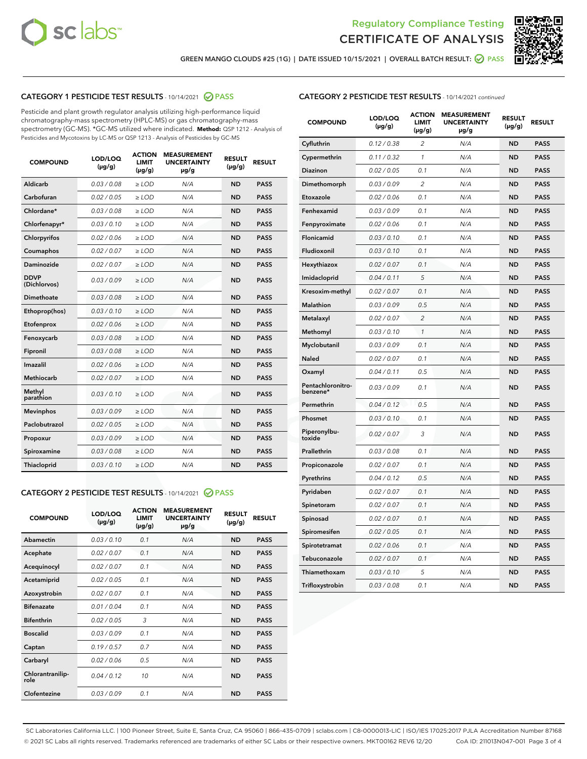



GREEN MANGO CLOUDS #25 (1G) | DATE ISSUED 10/15/2021 | OVERALL BATCH RESULT: @ PASS

## CATEGORY 1 PESTICIDE TEST RESULTS - 10/14/2021 2 PASS

Pesticide and plant growth regulator analysis utilizing high-performance liquid chromatography-mass spectrometry (HPLC-MS) or gas chromatography-mass spectrometry (GC-MS). \*GC-MS utilized where indicated. **Method:** QSP 1212 - Analysis of Pesticides and Mycotoxins by LC-MS or QSP 1213 - Analysis of Pesticides by GC-MS

| <b>COMPOUND</b>             | LOD/LOQ<br>$(\mu g/g)$ | <b>ACTION</b><br><b>LIMIT</b><br>$(\mu q/q)$ | <b>MEASUREMENT</b><br><b>UNCERTAINTY</b><br>$\mu$ g/g | <b>RESULT</b><br>$(\mu g/g)$ | <b>RESULT</b> |
|-----------------------------|------------------------|----------------------------------------------|-------------------------------------------------------|------------------------------|---------------|
| Aldicarb                    | 0.03 / 0.08            | $\ge$ LOD                                    | N/A                                                   | <b>ND</b>                    | <b>PASS</b>   |
| Carbofuran                  | 0.02 / 0.05            | $\geq$ LOD                                   | N/A                                                   | <b>ND</b>                    | <b>PASS</b>   |
| Chlordane*                  | 0.03 / 0.08            | $\ge$ LOD                                    | N/A                                                   | <b>ND</b>                    | <b>PASS</b>   |
| Chlorfenapyr*               | 0.03/0.10              | $\geq$ LOD                                   | N/A                                                   | <b>ND</b>                    | <b>PASS</b>   |
| Chlorpyrifos                | 0.02 / 0.06            | $\ge$ LOD                                    | N/A                                                   | <b>ND</b>                    | <b>PASS</b>   |
| Coumaphos                   | 0.02 / 0.07            | $\ge$ LOD                                    | N/A                                                   | <b>ND</b>                    | <b>PASS</b>   |
| Daminozide                  | 0.02 / 0.07            | $\ge$ LOD                                    | N/A                                                   | <b>ND</b>                    | <b>PASS</b>   |
| <b>DDVP</b><br>(Dichlorvos) | 0.03/0.09              | $\ge$ LOD                                    | N/A                                                   | <b>ND</b>                    | <b>PASS</b>   |
| Dimethoate                  | 0.03 / 0.08            | $\ge$ LOD                                    | N/A                                                   | <b>ND</b>                    | <b>PASS</b>   |
| Ethoprop(hos)               | 0.03/0.10              | $\ge$ LOD                                    | N/A                                                   | <b>ND</b>                    | <b>PASS</b>   |
| Etofenprox                  | 0.02/0.06              | $>$ LOD                                      | N/A                                                   | <b>ND</b>                    | <b>PASS</b>   |
| Fenoxycarb                  | 0.03 / 0.08            | $\ge$ LOD                                    | N/A                                                   | <b>ND</b>                    | <b>PASS</b>   |
| Fipronil                    | 0.03/0.08              | $>$ LOD                                      | N/A                                                   | <b>ND</b>                    | <b>PASS</b>   |
| Imazalil                    | 0.02 / 0.06            | $\ge$ LOD                                    | N/A                                                   | <b>ND</b>                    | <b>PASS</b>   |
| Methiocarb                  | 0.02 / 0.07            | $\ge$ LOD                                    | N/A                                                   | <b>ND</b>                    | <b>PASS</b>   |
| Methyl<br>parathion         | 0.03/0.10              | $>$ LOD                                      | N/A                                                   | <b>ND</b>                    | <b>PASS</b>   |
| <b>Mevinphos</b>            | 0.03/0.09              | $>$ LOD                                      | N/A                                                   | <b>ND</b>                    | <b>PASS</b>   |
| Paclobutrazol               | 0.02 / 0.05            | $>$ LOD                                      | N/A                                                   | <b>ND</b>                    | <b>PASS</b>   |
| Propoxur                    | 0.03/0.09              | $\ge$ LOD                                    | N/A                                                   | <b>ND</b>                    | <b>PASS</b>   |
| Spiroxamine                 | 0.03 / 0.08            | $\ge$ LOD                                    | N/A                                                   | <b>ND</b>                    | <b>PASS</b>   |
| Thiacloprid                 | 0.03/0.10              | $\ge$ LOD                                    | N/A                                                   | <b>ND</b>                    | <b>PASS</b>   |

#### CATEGORY 2 PESTICIDE TEST RESULTS - 10/14/2021 @ PASS

| <b>COMPOUND</b>          | LOD/LOQ<br>$(\mu g/g)$ | <b>ACTION</b><br><b>LIMIT</b><br>$(\mu g/g)$ | <b>MEASUREMENT</b><br><b>UNCERTAINTY</b><br>µg/g | <b>RESULT</b><br>$(\mu g/g)$ | <b>RESULT</b> |
|--------------------------|------------------------|----------------------------------------------|--------------------------------------------------|------------------------------|---------------|
| Abamectin                | 0.03/0.10              | 0.1                                          | N/A                                              | <b>ND</b>                    | <b>PASS</b>   |
| Acephate                 | 0.02/0.07              | 0.1                                          | N/A                                              | <b>ND</b>                    | <b>PASS</b>   |
| Acequinocyl              | 0.02/0.07              | 0.1                                          | N/A                                              | <b>ND</b>                    | <b>PASS</b>   |
| Acetamiprid              | 0.02 / 0.05            | 0.1                                          | N/A                                              | <b>ND</b>                    | <b>PASS</b>   |
| Azoxystrobin             | 0.02/0.07              | 0.1                                          | N/A                                              | <b>ND</b>                    | <b>PASS</b>   |
| <b>Bifenazate</b>        | 0.01/0.04              | 0.1                                          | N/A                                              | <b>ND</b>                    | <b>PASS</b>   |
| <b>Bifenthrin</b>        | 0.02 / 0.05            | 3                                            | N/A                                              | <b>ND</b>                    | <b>PASS</b>   |
| <b>Boscalid</b>          | 0.03/0.09              | 0.1                                          | N/A                                              | <b>ND</b>                    | <b>PASS</b>   |
| Captan                   | 0.19/0.57              | 0.7                                          | N/A                                              | <b>ND</b>                    | <b>PASS</b>   |
| Carbaryl                 | 0.02/0.06              | 0.5                                          | N/A                                              | <b>ND</b>                    | <b>PASS</b>   |
| Chlorantranilip-<br>role | 0.04/0.12              | 10                                           | N/A                                              | <b>ND</b>                    | <b>PASS</b>   |
| Clofentezine             | 0.03/0.09              | 0.1                                          | N/A                                              | <b>ND</b>                    | <b>PASS</b>   |

| <b>CATEGORY 2 PESTICIDE TEST RESULTS</b> - 10/14/2021 continued |  |  |
|-----------------------------------------------------------------|--|--|
|                                                                 |  |  |

| <b>COMPOUND</b>               | LOD/LOQ<br>$(\mu g/g)$ | <b>ACTION</b><br>LIMIT<br>(µg/g) | <b>MEASUREMENT</b><br><b>UNCERTAINTY</b><br>µg/g | <b>RESULT</b><br>$(\mu g/g)$ | <b>RESULT</b> |
|-------------------------------|------------------------|----------------------------------|--------------------------------------------------|------------------------------|---------------|
| Cyfluthrin                    | 0.12 / 0.38            | $\overline{c}$                   | N/A                                              | ND                           | <b>PASS</b>   |
| Cypermethrin                  | 0.11 / 0.32            | 1                                | N/A                                              | <b>ND</b>                    | <b>PASS</b>   |
| Diazinon                      | 0.02 / 0.05            | 0.1                              | N/A                                              | <b>ND</b>                    | <b>PASS</b>   |
| Dimethomorph                  | 0.03 / 0.09            | 2                                | N/A                                              | <b>ND</b>                    | <b>PASS</b>   |
| Etoxazole                     | 0.02 / 0.06            | 0.1                              | N/A                                              | <b>ND</b>                    | <b>PASS</b>   |
| Fenhexamid                    | 0.03 / 0.09            | 0.1                              | N/A                                              | <b>ND</b>                    | <b>PASS</b>   |
| Fenpyroximate                 | 0.02 / 0.06            | 0.1                              | N/A                                              | <b>ND</b>                    | <b>PASS</b>   |
| Flonicamid                    | 0.03 / 0.10            | 0.1                              | N/A                                              | <b>ND</b>                    | <b>PASS</b>   |
| Fludioxonil                   | 0.03/0.10              | 0.1                              | N/A                                              | <b>ND</b>                    | <b>PASS</b>   |
| Hexythiazox                   | 0.02 / 0.07            | 0.1                              | N/A                                              | <b>ND</b>                    | <b>PASS</b>   |
| Imidacloprid                  | 0.04 / 0.11            | 5                                | N/A                                              | <b>ND</b>                    | <b>PASS</b>   |
| Kresoxim-methyl               | 0.02 / 0.07            | 0.1                              | N/A                                              | <b>ND</b>                    | <b>PASS</b>   |
| <b>Malathion</b>              | 0.03 / 0.09            | 0.5                              | N/A                                              | <b>ND</b>                    | <b>PASS</b>   |
| Metalaxyl                     | 0.02 / 0.07            | $\overline{c}$                   | N/A                                              | <b>ND</b>                    | <b>PASS</b>   |
| Methomyl                      | 0.03 / 0.10            | $\mathcal{I}$                    | N/A                                              | <b>ND</b>                    | <b>PASS</b>   |
| Myclobutanil                  | 0.03 / 0.09            | 0.1                              | N/A                                              | <b>ND</b>                    | <b>PASS</b>   |
| Naled                         | 0.02 / 0.07            | 0.1                              | N/A                                              | <b>ND</b>                    | <b>PASS</b>   |
| Oxamyl                        | 0.04 / 0.11            | 0.5                              | N/A                                              | <b>ND</b>                    | <b>PASS</b>   |
| Pentachloronitro-<br>benzene* | 0.03/0.09              | 0.1                              | N/A                                              | <b>ND</b>                    | <b>PASS</b>   |
| Permethrin                    | 0.04 / 0.12            | 0.5                              | N/A                                              | <b>ND</b>                    | <b>PASS</b>   |
| Phosmet                       | 0.03 / 0.10            | 0.1                              | N/A                                              | <b>ND</b>                    | <b>PASS</b>   |
| Piperonylbu-<br>toxide        | 0.02 / 0.07            | 3                                | N/A                                              | <b>ND</b>                    | <b>PASS</b>   |
| Prallethrin                   | 0.03 / 0.08            | 0.1                              | N/A                                              | <b>ND</b>                    | <b>PASS</b>   |
| Propiconazole                 | 0.02 / 0.07            | 0.1                              | N/A                                              | <b>ND</b>                    | <b>PASS</b>   |
| Pyrethrins                    | 0.04 / 0.12            | 0.5                              | N/A                                              | <b>ND</b>                    | <b>PASS</b>   |
| Pyridaben                     | 0.02 / 0.07            | 0.1                              | N/A                                              | <b>ND</b>                    | <b>PASS</b>   |
| Spinetoram                    | 0.02 / 0.07            | 0.1                              | N/A                                              | ND                           | <b>PASS</b>   |
| Spinosad                      | 0.02 / 0.07            | 0.1                              | N/A                                              | <b>ND</b>                    | <b>PASS</b>   |
| Spiromesifen                  | 0.02 / 0.05            | 0.1                              | N/A                                              | <b>ND</b>                    | <b>PASS</b>   |
| Spirotetramat                 | 0.02 / 0.06            | 0.1                              | N/A                                              | <b>ND</b>                    | <b>PASS</b>   |
| Tebuconazole                  | 0.02 / 0.07            | 0.1                              | N/A                                              | ND                           | <b>PASS</b>   |
| Thiamethoxam                  | 0.03 / 0.10            | 5                                | N/A                                              | <b>ND</b>                    | <b>PASS</b>   |
| Trifloxystrobin               | 0.03 / 0.08            | 0.1                              | N/A                                              | <b>ND</b>                    | <b>PASS</b>   |

SC Laboratories California LLC. | 100 Pioneer Street, Suite E, Santa Cruz, CA 95060 | 866-435-0709 | sclabs.com | C8-0000013-LIC | ISO/IES 17025:2017 PJLA Accreditation Number 87168 © 2021 SC Labs all rights reserved. Trademarks referenced are trademarks of either SC Labs or their respective owners. MKT00162 REV6 12/20 CoA ID: 211013N047-001 Page 3 of 4